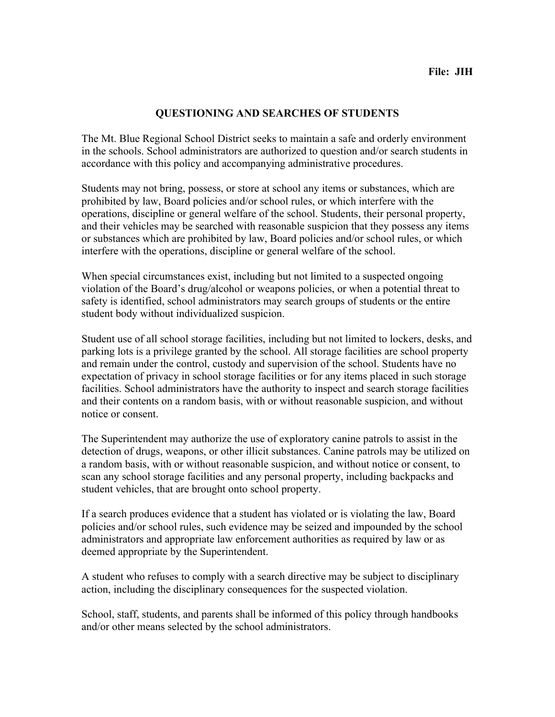## **QUESTIONING AND SEARCHES OF STUDENTS**

The Mt. Blue Regional School District seeks to maintain a safe and orderly environment in the schools. School administrators are authorized to question and/or search students in accordance with this policy and accompanying administrative procedures.

Students may not bring, possess, or store at school any items or substances, which are prohibited by law, Board policies and/or school rules, or which interfere with the operations, discipline or general welfare of the school. Students, their personal property, and their vehicles may be searched with reasonable suspicion that they possess any items or substances which are prohibited by law, Board policies and/or school rules, or which interfere with the operations, discipline or general welfare of the school.

When special circumstances exist, including but not limited to a suspected ongoing violation of the Board's drug/alcohol or weapons policies, or when a potential threat to safety is identified, school administrators may search groups of students or the entire student body without individualized suspicion.

Student use of all school storage facilities, including but not limited to lockers, desks, and parking lots is a privilege granted by the school. All storage facilities are school property and remain under the control, custody and supervision of the school. Students have no expectation of privacy in school storage facilities or for any items placed in such storage facilities. School administrators have the authority to inspect and search storage facilities and their contents on a random basis, with or without reasonable suspicion, and without notice or consent.

The Superintendent may authorize the use of exploratory canine patrols to assist in the detection of drugs, weapons, or other illicit substances. Canine patrols may be utilized on a random basis, with or without reasonable suspicion, and without notice or consent, to scan any school storage facilities and any personal property, including backpacks and student vehicles, that are brought onto school property.

If a search produces evidence that a student has violated or is violating the law, Board policies and/or school rules, such evidence may be seized and impounded by the school administrators and appropriate law enforcement authorities as required by law or as deemed appropriate by the Superintendent.

A student who refuses to comply with a search directive may be subject to disciplinary action, including the disciplinary consequences for the suspected violation.

School, staff, students, and parents shall be informed of this policy through handbooks and/or other means selected by the school administrators.